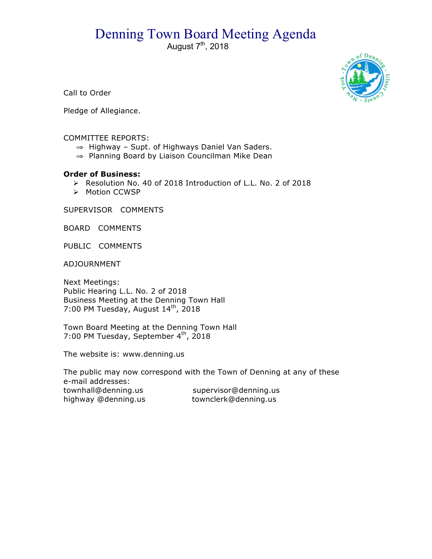## Denning Town Board Meeting Agenda

August  $7<sup>th</sup>$ , 2018



Call to Order

Pledge of Allegiance.

## COMMITTEE REPORTS:

- ⇒ Highway Supt. of Highways Daniel Van Saders.
- ⇒ Planning Board by Liaison Councilman Mike Dean

## **Order of Business:**

- > Resolution No. 40 of 2018 Introduction of L.L. No. 2 of 2018
- > Motion CCWSP

SUPERVISOR COMMENTS

BOARD COMMENTS

PUBLIC COMMENTS

ADJOURNMENT

Next Meetings: Public Hearing L.L. No. 2 of 2018 Business Meeting at the Denning Town Hall 7:00 PM Tuesday, August 14<sup>th</sup>, 2018

Town Board Meeting at the Denning Town Hall 7:00 PM Tuesday, September 4<sup>th</sup>, 2018

The website is: www.denning.us

The public may now correspond with the Town of Denning at any of these e-mail addresses: townhall@denning.us supervisor@denning.us highway @denning.us townclerk@denning.us